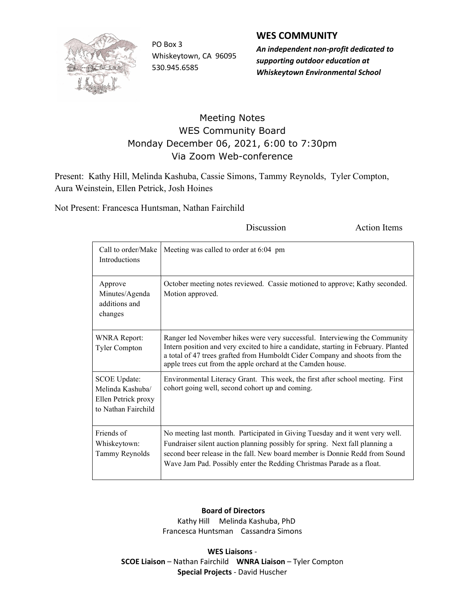

PO Box 3 Whiskeytown, CA 96095 530.945.6585

## WES COMMUNITY

An independent non-profit dedicated to supporting outdoor education at Whiskeytown Environmental School

## Meeting Notes WES Community Board Monday December 06, 2021, 6:00 to 7:30pm Via Zoom Web-conference

Present: Kathy Hill, Melinda Kashuba, Cassie Simons, Tammy Reynolds, Tyler Compton, Aura Weinstein, Ellen Petrick, Josh Hoines

Not Present: Francesca Huntsman, Nathan Fairchild

| Call to order/Make<br>Introductions                                                   | Meeting was called to order at 6:04 pm                                                                                                                                                                                                                                                                               |
|---------------------------------------------------------------------------------------|----------------------------------------------------------------------------------------------------------------------------------------------------------------------------------------------------------------------------------------------------------------------------------------------------------------------|
| Approve<br>Minutes/Agenda<br>additions and<br>changes                                 | October meeting notes reviewed. Cassie motioned to approve; Kathy seconded.<br>Motion approved.                                                                                                                                                                                                                      |
| <b>WNRA Report:</b><br><b>Tyler Compton</b>                                           | Ranger led November hikes were very successful. Interviewing the Community<br>Intern position and very excited to hire a candidate, starting in February. Planted<br>a total of 47 trees grafted from Humboldt Cider Company and shoots from the<br>apple trees cut from the apple orchard at the Camden house.      |
| <b>SCOE Update:</b><br>Melinda Kashuba/<br>Ellen Petrick proxy<br>to Nathan Fairchild | Environmental Literacy Grant. This week, the first after school meeting. First<br>cohort going well, second cohort up and coming.                                                                                                                                                                                    |
| Friends of<br>Whiskeytown:<br>Tammy Reynolds                                          | No meeting last month. Participated in Giving Tuesday and it went very well.<br>Fundraiser silent auction planning possibly for spring. Next fall planning a<br>second beer release in the fall. New board member is Donnie Redd from Sound<br>Wave Jam Pad. Possibly enter the Redding Christmas Parade as a float. |

Discussion Action Items

## Board of Directors

 Kathy Hill Melinda Kashuba, PhD Francesca Huntsman Cassandra Simons

WES Liaisons - SCOE Liaison – Nathan Fairchild WNRA Liaison – Tyler Compton Special Projects - David Huscher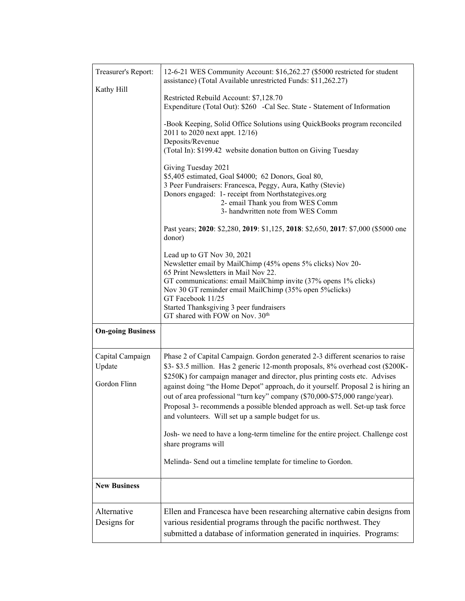| Treasurer's Report:<br>Kathy Hill          | 12-6-21 WES Community Account: \$16,262.27 (\$5000 restricted for student<br>assistance) (Total Available unrestricted Funds: \$11,262.27)<br>Restricted Rebuild Account: \$7,128.70<br>Expenditure (Total Out): \$260 -Cal Sec. State - Statement of Information<br>-Book Keeping, Solid Office Solutions using QuickBooks program reconciled<br>2011 to 2020 next appt. 12/16)<br>Deposits/Revenue<br>(Total In): \$199.42 website donation button on Giving Tuesday<br>Giving Tuesday 2021<br>\$5,405 estimated, Goal \$4000; 62 Donors, Goal 80,<br>3 Peer Fundraisers: Francesca, Peggy, Aura, Kathy (Stevie)<br>Donors engaged: 1- receipt from Northstategives.org<br>2- email Thank you from WES Comm<br>3- handwritten note from WES Comm<br>Past years; 2020: \$2,280, 2019: \$1,125, 2018: \$2,650, 2017: \$7,000 (\$5000 one<br>donor) |
|--------------------------------------------|----------------------------------------------------------------------------------------------------------------------------------------------------------------------------------------------------------------------------------------------------------------------------------------------------------------------------------------------------------------------------------------------------------------------------------------------------------------------------------------------------------------------------------------------------------------------------------------------------------------------------------------------------------------------------------------------------------------------------------------------------------------------------------------------------------------------------------------------------|
|                                            | Lead up to GT Nov 30, 2021<br>Newsletter email by MailChimp (45% opens 5% clicks) Nov 20-<br>65 Print Newsletters in Mail Nov 22.<br>GT communications: email MailChimp invite (37% opens 1% clicks)<br>Nov 30 GT reminder email MailChimp (35% open 5% clicks)<br>GT Facebook 11/25<br>Started Thanksgiving 3 peer fundraisers<br>GT shared with FOW on Nov. 30 <sup>th</sup>                                                                                                                                                                                                                                                                                                                                                                                                                                                                     |
| <b>On-going Business</b>                   |                                                                                                                                                                                                                                                                                                                                                                                                                                                                                                                                                                                                                                                                                                                                                                                                                                                    |
| Capital Campaign<br>Update<br>Gordon Flinn | Phase 2 of Capital Campaign. Gordon generated 2-3 different scenarios to raise<br>\$3-\$3.5 million. Has 2 generic 12-month proposals, 8% overhead cost (\$200K-<br>\$250K) for campaign manager and director, plus printing costs etc. Advises<br>against doing "the Home Depot" approach, do it yourself. Proposal 2 is hiring an<br>out of area professional "turn key" company (\$70,000-\$75,000 range/year).<br>Proposal 3- recommends a possible blended approach as well. Set-up task force<br>and volunteers. Will set up a sample budget for us.<br>Josh- we need to have a long-term timeline for the entire project. Challenge cost<br>share programs will<br>Melinda-Send out a timeline template for timeline to Gordon.                                                                                                             |
| <b>New Business</b>                        |                                                                                                                                                                                                                                                                                                                                                                                                                                                                                                                                                                                                                                                                                                                                                                                                                                                    |
|                                            |                                                                                                                                                                                                                                                                                                                                                                                                                                                                                                                                                                                                                                                                                                                                                                                                                                                    |
| Alternative<br>Designs for                 | Ellen and Francesca have been researching alternative cabin designs from<br>various residential programs through the pacific northwest. They<br>submitted a database of information generated in inquiries. Programs:                                                                                                                                                                                                                                                                                                                                                                                                                                                                                                                                                                                                                              |